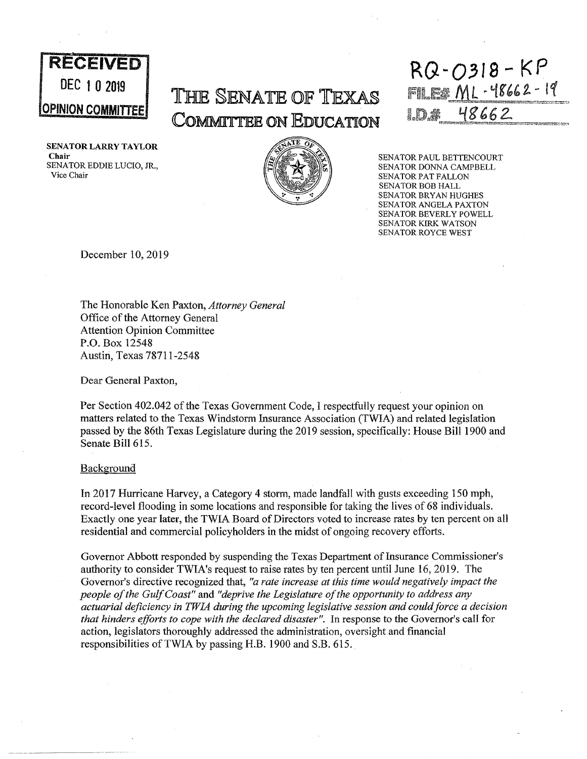

**SENATOR LARRY TAYLOR Chair**  SENATOR EDDIE LUCIO, JR., Vice Chair

# The Senate of Texas **COMrMJ.TTEE** ON EDUCATION



**RECEIVED** RQ-0318-KP FILE# ML-48662-19 48662

> SENATOR PAUL BETTENCOURT SENATOR DONNA CAMPBELL SENATOR PAT FALLON SENATOR BOB HALL SENATOR BRYAN HUGHES SENATOR ANGELA PAXTON SENATOR BEVERLY POWELL SENATOR KIRK WATSON SENATOR ROYCE WEST

December 10, 2019

The Honorable Ken Paxton, *Attorney General*  Office of the Attorney General Attention Opinion Committee P.O. Box 12548 Austin, Texas 78711-2548

Dear General Paxton,

Per Section 402.042 of the Texas Government Code, I respectfully request your opinion on matters related to the Texas Windstorm Insurance Association (TWIA) and related legislation passed by the 86th Texas Legislature during the 2019 session, specifically: House Bill 1900 and Senate Bill 615.

### **Background**

In 2017 Hurricane Harvey, a Category 4 storm, made landfall with gusts exceeding 150 mph, record-level flooding in some locations and responsible for taking the lives of 68 individuals. Exactly one year later, the TWIA Board of Directors voted to increase rates by ten percent on all residential and commercial policyholders in the midst of ongoing recovery efforts.

Governor Abbott responded by suspending the Texas Department of Insurance Commissioner's authority to consider TWIA's request to raise rates by ten percent until June 16, 2019. The Governor's directive recognized that, *"a rate increase at this time would negatively impact the people of the Gulf Coast"* and *"deprive the Legislature of the opportunity to address any actuarial deficiency in TWIA during the upcoming legislative session and could force a decision that hinders efforts to cope with the declared disaster".* In response to the Governor's call for action, legislators thoroughly addressed the administration, oversight and financial responsibilities of TWIA by passing H.B. 1900 and S.B. 615.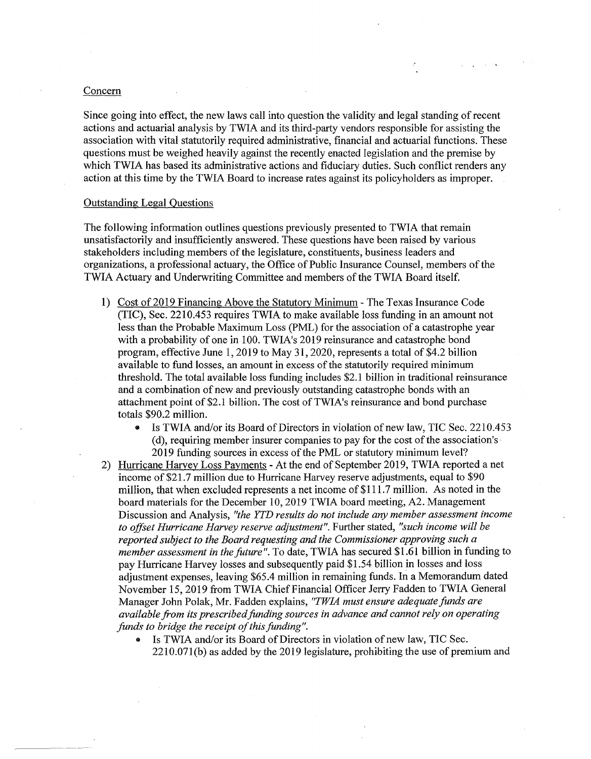#### Concern

Since going into effect, the new laws call into question the validity and legal standing of recent actions and actuarial analysis by TWIA and its third-party vendors responsible for assisting the association with vital statutorily required administrative, financial and actuarial functions. These questions must be weighed heavily against the recently enacted legislation and the premise by which TWIA has based its administrative actions and fiduciary duties. Such conflict renders any action at this time by the TWIA Board to increase rates against its policyholders as improper.

# Outstanding Legal Questions

The following information outlines questions previously presented to TWIA that remain unsatisfactorily and insufficiently answered. These questions have been raised by various stakeholders including members of the legislature, constituents, business leaders and organizations, a professional actuary, the Office of Public Insurance Counsel, members of the TWIA Actuary and Underwriting Committee and members of the TWIA Board itself.

- 1) Cost of 2019 Financing Above the Statutory Minimum -The Texas Insurance Code (TIC), Sec. 2210.453 requires TWIA to make available loss funding in an amount not less than the Probable Maximum Loss (PML) for the association of a catastrophe year with a probability of one in 100. TWIA's 2019 reinsurance and catastrophe bond program, effective June 1, 2019 to May 31, 2020, represents a total of \$4.2 billion available to fund losses, an amount in excess of the statutorily required minimum threshold. The total available loss funding includes \$2.1 billion in traditional reinsurance and a combination of new and previously outstanding catastrophe bonds with an attachment point of \$2.1 billion. The cost of TWIA's reinsurance and bond purchase totals \$90.2 million.
	- Is TWIA and/or its Board of Directors in violation of new law, TIC Sec. 2210.453 (d), requiring member insurer companies to pay for the cost of the association's 2019 funding sources in excess of the PML or statutory minimum level?
- 2) Hurricane Harvey Loss Payments At the end of September 2019, TWIA reported a net income of \$21.7 million due to Hurricane Harvey reserve adjustments, equal to \$90 million, that when excluded represents a net income of \$111.7 million. As noted in the board materials for the December 10, 2019 TWIA board meeting, A2. Management Discussion and Analysis, *"the YTD results do not include any member assessment income to offset Hurricane Harvey reserve adjustment".* Further stated, *"such income will be reported subject to the Board requesting and the Commissioner approving such a member assessment in the future".* To date, TWIA has secured \$1.61 billion in funding to pay Hurricane Harvey losses and subsequently paid \$1.54 billion in losses and loss adjustment expenses, leaving \$65.4 million in remaining funds. In a Memorandum dated November 15, 2019 from TWIA Chief Financial Officer Jerry Fadden to TWIA General Manager John Polak, Mr. Fadden explains, *"TWIA must ensure adequate funds are available from its prescribed funding sources in advance and cannot rely on operating funds to bridge the receipt of this funding".* 
	- Is TWIA and/or its Board of Directors in violation of new law, TIC Sec. 2210.071(b) as added by the 2019 legislature, prohibiting the use of premium and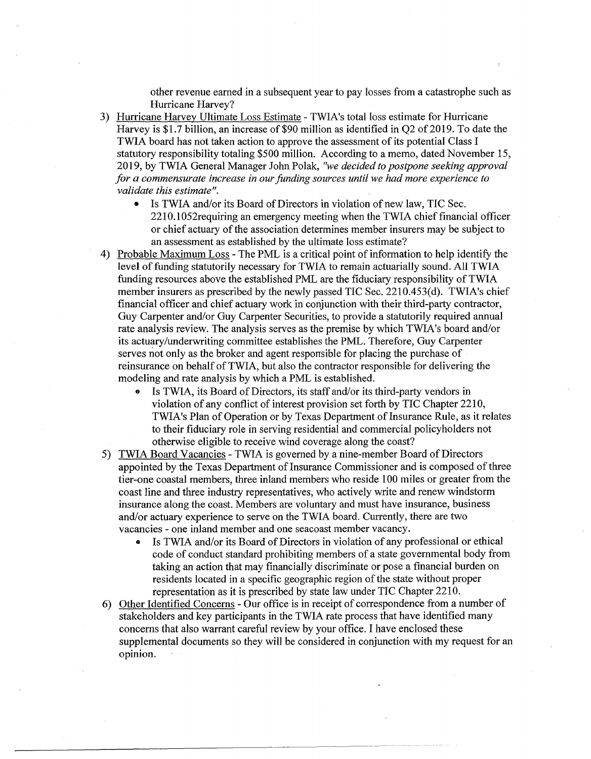other revenue earned in a subsequent year to pay losses from a catastrophe such as Hurricane Harvey?

- 3) Hurricane Harvey Ultimate Loss Estimate TWIA's total loss estimate for Hurricane Harvey is \$1.7 billion, an increase of \$90 million as identified in Q2 of 2019. To date the TWIA board has not taken action to approve the assessment of its potential Class I statutory responsibility totaling \$500 million. According to a memo, dated November 15, 2019, by TWIA General Manager John Polak, *"we decided to postpone seeking approval for a commensurate increase in our funding sources until we had more experience to validate this estimate".* 
	- Is TWIA and/or its Board of Directors in violation of new law, TIC Sec. 2210.1052requiring an emergency meeting when the TWIA chief financial officer or chief actuary of the association determines member insurers may be subject to an assessment as established by the ultimate loss estimate?
- 4) Probable Maximum Loss -The PML is a critical point of information to help identify the level of funding statutorily necessary for TWIA to remain actuarially sound. All TWIA funding resources above the established PML are the fiduciary responsibility of TWIA member insurers as prescribed by the newly passed TIC Sec. 2210.453(d). TWIA's chief financial officer and chief actuary work in conjunction with their third-party contractor, Guy Carpenter and/or Guy Carpenter Securities, to provide a statutorily required annual rate analysis review. The analysis serves as the premise by which TWIA's board and/or its actuary/underwriting committee establishes the PML. Therefore, Guy Carpenter serves not only as the broker and agent responsible for placing the purchase of reinsurance on behalf of TWIA, but also the contractor responsible for delivering the modeling and rate analysis by which a PML is established.
	- Is TWIA, its Board of Directors, its staff and/or its third-party vendors in violation of any conflict of interest provision set forth by TIC Chapter 2210, TWIA's Plan of Operation or by Texas Department of Insurance Rule, as it relates to their fiduciary role in serving residential and commercial policyholders not otherwise eligible to receive wind coverage along the coast?
- 5) TWIA Board Vacancies TWIA is governed by a nine-member Board of Directors appointed by the Texas Department of Insurance Commissioner and is composed of three tier-one coastal members, three inland members who reside 100 miles or greater from the coast line and three industry representatives, who actively write and renew windstorm insurance along the coast. Members are voluntary and must have insurance, business and/or actuary experience to serve on the TWIA board. Currently, there are two vacancies - one inland member and one seacoast member vacancy.
	- Is TWIA and/or its Board of Directors in violation of any professional or ethical code of conduct standard prohibiting members of a state governmental body from taking an action that may financially discriminate or pose a financial burden on residents located in a specific geographic region of the state without proper representation as it is prescribed by state law under TIC Chapter 2210.
- 6) Other Identified Concerns Our office is in receipt of correspondence from a number of stakeholders and key participants in the TWIA rate process that have identified many concerns that also warrant careful review by your office. I have enclosed these supplemental documents so they will be considered in conjunction with my request for an opinion.